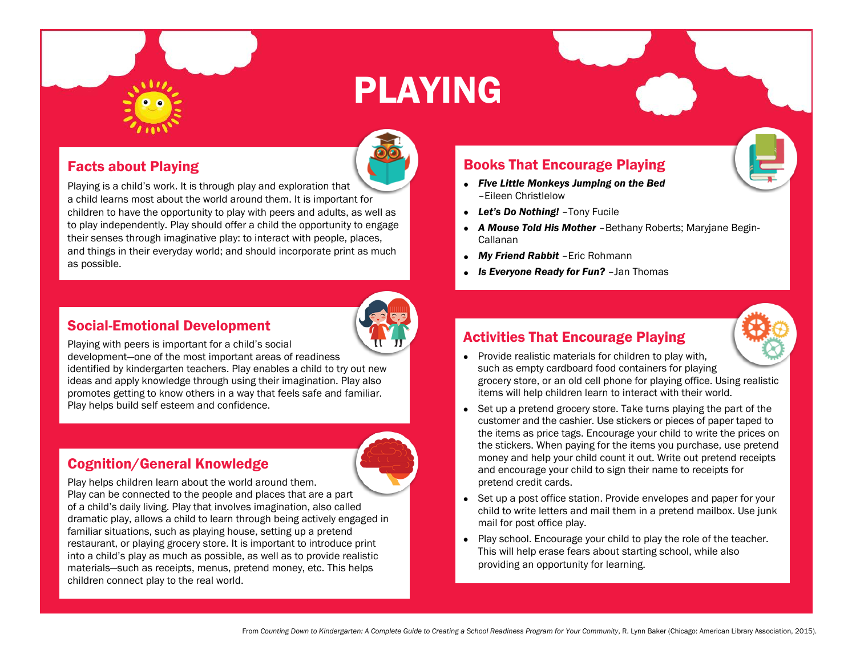# PLAYING

#### Facts about Playing

Playing is a child's work. It is through play and exploration that a child learns most about the world around them. It is important for children to have the opportunity to play with peers and adults, as well as to play independently. Play should offer a child the opportunity to engage their senses through imaginative play: to interact with people, places, and things in their everyday world; and should incorporate print as much as possible.

#### Social-Emotional Development



Playing with peers is important for a child's social

development—one of the most important areas of readiness identified by kindergarten teachers. Play enables a child to try out new ideas and apply knowledge through using their imagination. Play also promotes getting to know others in a way that feels safe and familiar. Play helps build self esteem and confidence.

## Cognition/General Knowledge

Play helps children learn about the world around them. Play can be connected to the people and places that are a part of a child's daily living. Play that involves imagination, also called dramatic play, allows a child to learn through being actively engaged in familiar situations, such as playing house, setting up a pretend restaurant, or playing grocery store. It is important to introduce print into a child's play as much as possible, as well as to provide realistic materials—such as receipts, menus, pretend money, etc. This helps children connect play to the real world.

### Books That Encourage Playing

- *Five Little Monkeys Jumping on the Bed* –Eileen Christlelow
- *Let's Do Nothing!* –Tony Fucile
- *A Mouse Told His Mother* –Bethany Roberts; Maryjane Begin-Callanan
- *My Friend Rabbit* –Eric Rohmann
- *Is Everyone Ready for Fun?* –Jan Thomas

#### Activities That Encourage Playing



- Provide realistic materials for children to play with, such as empty cardboard food containers for playing grocery store, or an old cell phone for playing office. Using realistic items will help children learn to interact with their world.
- Set up a pretend grocery store. Take turns playing the part of the customer and the cashier. Use stickers or pieces of paper taped to the items as price tags. Encourage your child to write the prices on the stickers. When paying for the items you purchase, use pretend money and help your child count it out. Write out pretend receipts and encourage your child to sign their name to receipts for pretend credit cards.
- Set up a post office station. Provide envelopes and paper for your child to write letters and mail them in a pretend mailbox. Use junk mail for post office play.
- Play school. Encourage your child to play the role of the teacher. This will help erase fears about starting school, while also providing an opportunity for learning.